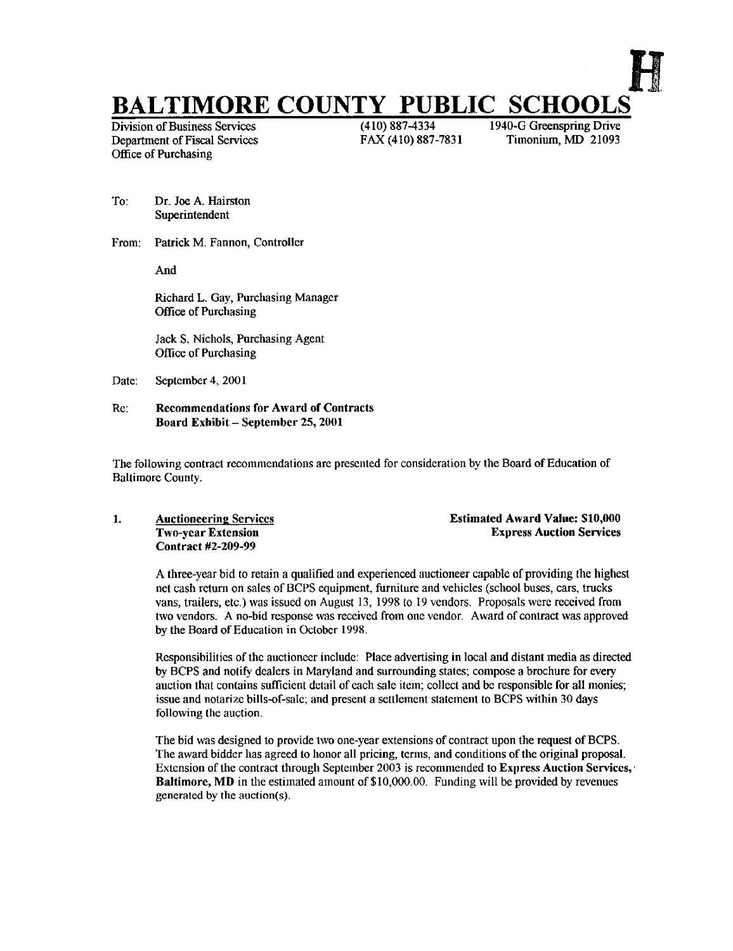# **BALTIMORE COUNTY PUBLIC SCHOOLS**<br>Division of Business Services<br>(410) 887-4334<br>1940-G Greenspring Drive

Division of Business Services (410) 887-4334 1940-G Greenspring Drive<br>Department of Fiscal Services FAX (410) 887-7831 Timonium, MD 21093 Department of Fiscal Services Office of Purchasing

- To: Dr. Joe A. Hairston Superintendent
- From: Patrick M. Fannon, Controller

And

Richard L. Gay, Purchasing Manager Office of Purchasing

Jack S. Nichols, Purchasing Agent Office of Purchasing

Date: September 4, 2001

### Re: Recommendations for Award of Contracts Board Exhibit - September 25, 2001

The following contract recommendations are presented for consideration by the Board of Education of Baltimore County.

Contract #2-209-99

1. Auctioneering Services **Extimated Award Value: \$10,000**<br>
Two-year Extension **Extension** Express Auction Services **Express Auction Services** 

A three-year bid to retain <sup>a</sup> qualified and experienced auctioneer capable of providing the highest net cash return on sales of BOPS equipment, furniture and vehicles (school buses, cars, trucks vans, trailers, etc .) was issued on August 13, 1998 to 19 vendors. Proposals were received from two vendors. A no-bid response was received from one vendor. Award of contract was approved by the Board of Education in October 1998.

Responsibilities ofthe auctioneer include: Place advertising in local and distant media as directed by BOPS and notify dealers in Maryland and surrounding states; compose <sup>a</sup> brochure for every auction that contains sufficient detail of each sale item; collect and be responsible for all monies; issue and notarize bills-of-sale; and present a settlement statement to BCPS within 30 days following the auction.

The bid was designed to provide two one-year extensions of contract upon the request of BCPS. The award bidder has agreed to honor all pricing, terms, and conditions of the original proposal. Extension of the contract through September 2003 is recommended to Express Auction Services, Baltimore, MD in the estimated amount of \$10,000.00 . Funding will be provided by revenues generated by the auction(s).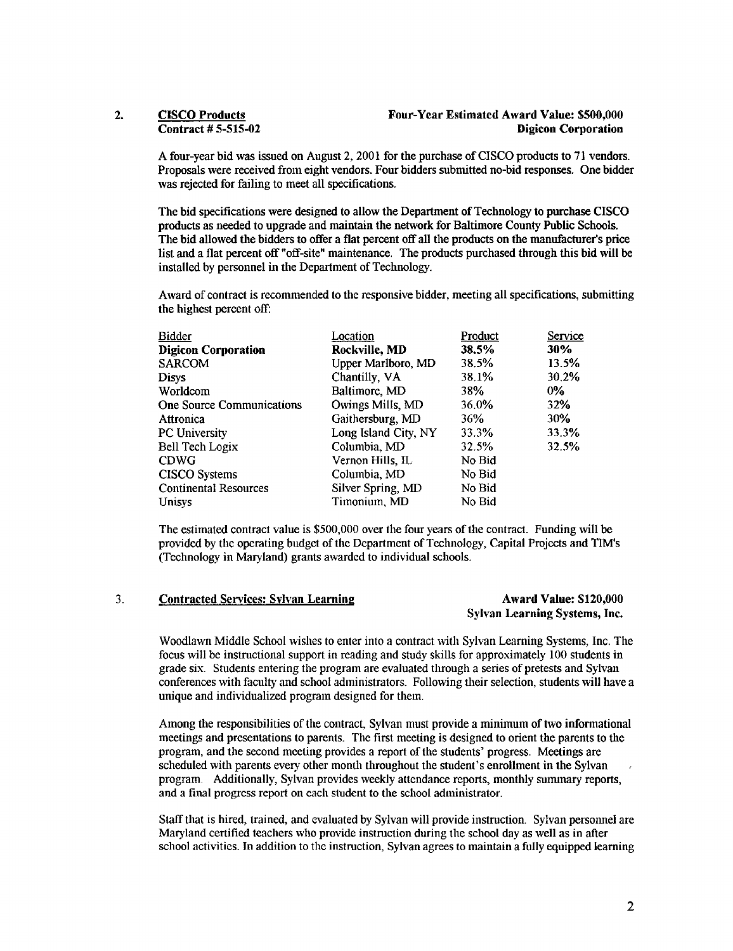A four-year bid was issued on August 2, 2001 for the purchase of CISCO products to <sup>71</sup> vendors. Proposals were received from eight vendors . Four bidders submitted no-bid responses . One bidder was rejected for failing to meet all specifications.

The bid specifications were designed to allow the Department of Technology to purchase CISCO products as needed to upgrade and maintain the network for Baltimore County Public Schools. The bid allowed the bidders to offer <sup>a</sup> flat percent offall the products on the manufacturer's price list and a flat percent oft' "off-site" maintenance . The products purchased through this bid will be installed by personnel in the Department of Technology.

Award of contract is recommended to the responsive bidder, meeting all specifications, submitting the highest percent off:

| Bidder                       | Location             | Product | Service |
|------------------------------|----------------------|---------|---------|
| <b>Digicon Corporation</b>   | Rockville, MD        | 38.5%   | 30%     |
| SARCOM                       | Upper Marlboro, MD   | 38.5%   | 13.5%   |
| Disys                        | Chantilly, VA        | 38.1%   | 30.2%   |
| Worldcom                     | Baltimore, MD        | 38%     | 0%      |
| One Source Communications    | Owings Mills, MD     | 36.0%   | 32%     |
| Attronica                    | Gaithersburg, MD     | 36%     | 30%     |
| PC University                | Long Island City, NY | 33.3%   | 33.3%   |
| Bell Tech Logix              | Columbia, MD         | 32.5%   | 32.5%   |
| <b>CDWG</b>                  | Vernon Hills, IL     | No Bid  |         |
| <b>CISCO</b> Systems         | Columbia, MD         | No Bid  |         |
| <b>Continental Resources</b> | Silver Spring, MD    | No Bid  |         |
| Unisys                       | Timonium, MD         | No Bid  |         |
|                              |                      |         |         |

The estimated contract value is \$500,000 over the four years of the contract. Funding will be provided by the operating budget ofthe Department of Technology, Capital Projects and TIM's (Technology in Maryland) grants awarded to individual schools.

### 3. Contracted Services: Sylvan Learning The Contracted Services: Sylvan Learning Award Value: \$120,000

## Sylvan Learning Systems, Inc.

Woodlawn Middle School wishes to enter into a contract with Sylvan Learning Systems, Inc. The focus will be instructional support in reading and study skills for approximately 100 students in grade six. Students entering the program are evaluated through a series of pretests and Sylvan conferences with faculty and school administrators . Following their selection, students will have a unique and individualized program designed for them.

Among the responsibilities of the contract, Sylvan must provide <sup>a</sup> minimum of two informational meetings and presentations to parents . The first meeting is designed to orient the parents to the program, and the second meeting provides a report of the students' progress. Meetings are scheduled with parents every other month throughout the student's enrollment in the Sylvan program. Additionally, Sylvan provides weekly attendance reports, monthly summary reports, and a final progress report on each student to the school administrator.

Staff that is hired, trained, and evaluated by Sylvan will provide instruction . Sylvan personnel are Maryland certified teachers who provide instruction during the school day as well as in after school activities . In addition to the instruction, Sylvan agrees to maintain a fully equipped learning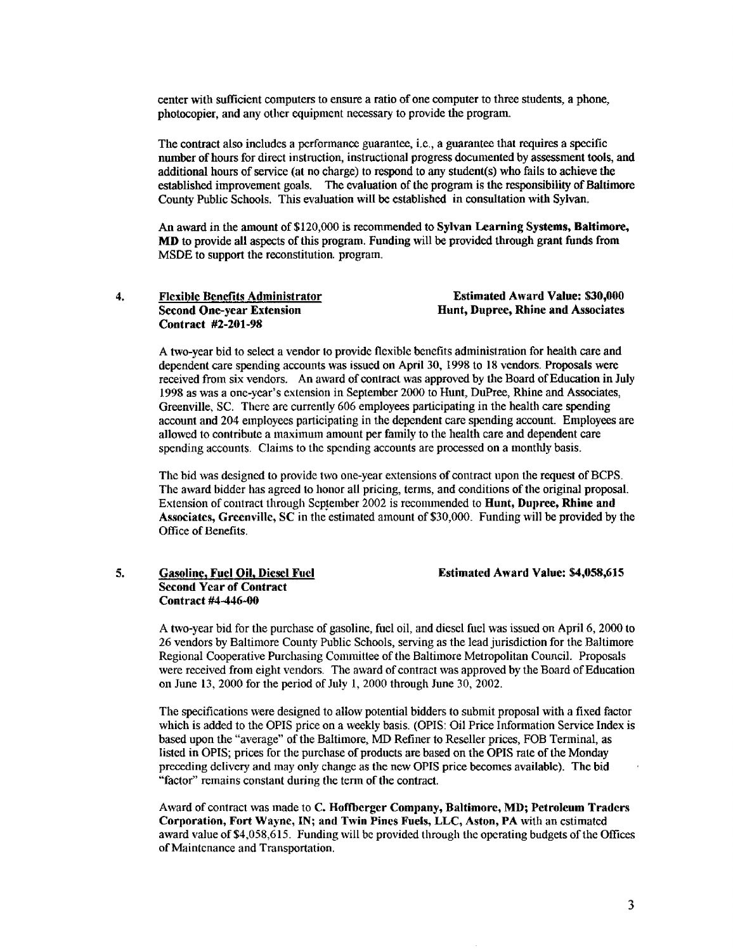center with sufficient computers to ensure a ratio ofone computer to three students, a phone, photocopier, and any other equipment necessary to provide the program.

The contract also includes a performance guarantee, i.e., a guarantee that requires a specific number ofhours for direct instruction, instructional progress documented by assessment tools, and additional hours of service (at no charge) to respond to any student(s) who fails to achieve the established improvement goals. The evaluation of the program is the responsibility of Baltimore County Public Schools. This evaluation will be established in consultation with Sylvan.

An award in the amount of \$120,000 is recommended to Sylvan Learning Systems, Baltimore, MD to provide all aspects of this program. Funding will be provided through grant funds from MSDE to support the reconstitution . program.

| <b>Flexible Benefits Administrator</b>                        | <b>Estimated Award Value: \$30,000</b> |
|---------------------------------------------------------------|----------------------------------------|
| <b>Second One-year Extension</b><br><b>Contract #2-201-98</b> | Hunt, Dupree, Rhine and Associates     |
|                                                               |                                        |

A two-year bid to select <sup>a</sup> vendor to provide flexible benefits administration for health care and dependent care spending accounts was issued on April 30, 1998 to 18 vendors . Proposals were received from six vendors. An award of contract was approved by the Board of Education in July 1998 as was a one-year's extension in September 2000 to Hunt, Dupree, Rhine and Associates, Greenville, SC. There are currently 606 employees participating in the health care spending account and 204 employees participating in the dependent care spending account. Employees are allowed to contribute a maximum amount per family to the health care and dependent care spending accounts. Claims to the spending accounts are processed on a monthly basis.

The bid was designed to provide two one-year extensions of contract upon the request of BCPS. The award bidder has agreed to honor all pricing, terms, and conditions of the original proposal Extension of contract through September 2002 is recommended to Hunt, Dupree, Rhine and Associates, Greenville, SC in the estimated amount of \$30,000 . Funding will be provided by the Office of Benefits.

### 5. Gasoline, Fuel Oil, Diesel Fuel Estimated Award Value: \$4,058,615 Second Year of Contract Contract #4-446-00

A two-year bid for the purchase of gasoline, fuel oil, and diesel fuel was issued on April 6, 2000 to 26 vendors by Baltimore County Public Schools, serving as the lead jurisdiction for the Baltimore Regional Cooperative Purchasing Committee of the Baltimore Metropolitan Council . Proposals were received from eight vendors. The award of contract was approved by the Board of Education on June 13, 2000 for the period of July 1, 2000 through June 30, 2002.

The specifications were designed to allow potential bidders to submit proposal with a fixed factor which is added to the OPIS price on a weekly basis. (OPIS: Oil Price Information Service Index is based upon the "average" of the Baltimore, MD Refiner to Reseller prices, FOB Terminal, as listed in OPTS; prices for the purchase of products are based on the OPTS rate of the Monday preceding delivery and may only change as the new OPTS price becomes available) . The bid "factor" remains constant during the term of the contract.

Award of contract was made to C. Hoffberger Company, Baltimore, MD; Petroleum Traders Corporation, Fort Wayne, IN; and Twin Pines Fuels, LLC, Aston, PA with an estimated award value of \$4,058,615. Funding will be provided through the operating budgets of the offices of Maintenance and Transportation.